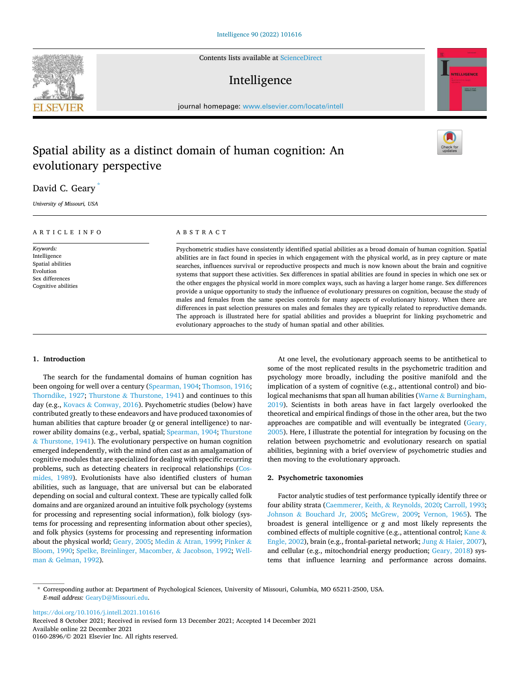Contents lists available at [ScienceDirect](www.sciencedirect.com/science/journal/01602896)

## Intelligence

journal homepage: [www.elsevier.com/locate/intell](https://www.elsevier.com/locate/intell) 

# Spatial ability as a distinct domain of human cognition: An evolutionary perspective

### David C. Geary

*University of Missouri, USA* 

| ARTICLE INFO                                                                                          | ABSTRACT                                                                                                                                                                                                                                                                                                                                                                                                                                                                                                                                                                                                                                                                                                                                                                                                                                                                                                                                                                                                                                                                                                                                        |
|-------------------------------------------------------------------------------------------------------|-------------------------------------------------------------------------------------------------------------------------------------------------------------------------------------------------------------------------------------------------------------------------------------------------------------------------------------------------------------------------------------------------------------------------------------------------------------------------------------------------------------------------------------------------------------------------------------------------------------------------------------------------------------------------------------------------------------------------------------------------------------------------------------------------------------------------------------------------------------------------------------------------------------------------------------------------------------------------------------------------------------------------------------------------------------------------------------------------------------------------------------------------|
| Keywords:<br>Intelligence<br>Spatial abilities<br>Evolution<br>Sex differences<br>Cognitive abilities | Psychometric studies have consistently identified spatial abilities as a broad domain of human cognition. Spatial<br>abilities are in fact found in species in which engagement with the physical world, as in prey capture or mate<br>searches, influences survival or reproductive prospects and much is now known about the brain and cognitive<br>systems that support these activities. Sex differences in spatial abilities are found in species in which one sex or<br>the other engages the physical world in more complex ways, such as having a larger home range. Sex differences<br>provide a unique opportunity to study the influence of evolutionary pressures on cognition, because the study of<br>males and females from the same species controls for many aspects of evolutionary history. When there are<br>differences in past selection pressures on males and females they are typically related to reproductive demands.<br>The approach is illustrated here for spatial abilities and provides a blueprint for linking psychometric and<br>evolutionary approaches to the study of human spatial and other abilities. |

### **1. Introduction**

The search for the fundamental domains of human cognition has been ongoing for well over a century ([Spearman, 1904; Thomson, 1916](#page-5-0); [Thorndike, 1927;](#page-5-0) Thurstone & [Thurstone, 1941\)](#page-5-0) and continues to this day (e.g., Kovacs & [Conway, 2016\)](#page-4-0). Psychometric studies (below) have contributed greatly to these endeavors and have produced taxonomies of human abilities that capture broader (*g* or general intelligence) to narrower ability domains (e.g., verbal, spatial; [Spearman, 1904; Thurstone](#page-5-0)   $&$  [Thurstone, 1941](#page-5-0)). The evolutionary perspective on human cognition emerged independently, with the mind often cast as an amalgamation of cognitive modules that are specialized for dealing with specific recurring problems, such as detecting cheaters in reciprocal relationships ([Cos](#page-4-0)[mides, 1989](#page-4-0)). Evolutionists have also identified clusters of human abilities, such as language, that are universal but can be elaborated depending on social and cultural context. These are typically called folk domains and are organized around an intuitive folk psychology (systems for processing and representing social information), folk biology (systems for processing and representing information about other species), and folk physics (systems for processing and representing information about the physical world; [Geary, 2005](#page-4-0); Medin & [Atran, 1999;](#page-4-0) [Pinker](#page-5-0) & [Bloom, 1990;](#page-5-0) [Spelke, Breinlinger, Macomber,](#page-5-0) & Jacobson, 1992; [Well](#page-5-0)man & [Gelman, 1992\)](#page-5-0).

At one level, the evolutionary approach seems to be antithetical to some of the most replicated results in the psychometric tradition and psychology more broadly, including the positive manifold and the implication of a system of cognitive (e.g., attentional control) and biological mechanisms that span all human abilities (Warne  $&$  Burningham, [2019\)](#page-5-0). Scientists in both areas have in fact largely overlooked the theoretical and empirical findings of those in the other area, but the two approaches are compatible and will eventually be integrated ([Geary,](#page-4-0)  [2005\)](#page-4-0). Here, I illustrate the potential for integration by focusing on the relation between psychometric and evolutionary research on spatial abilities, beginning with a brief overview of psychometric studies and then moving to the evolutionary approach.

#### **2. Psychometric taxonomies**

Factor analytic studies of test performance typically identify three or four ability strata [\(Caemmerer, Keith,](#page-3-0) & Reynolds, 2020; [Carroll, 1993](#page-3-0); Johnson & [Bouchard Jr, 2005](#page-4-0); [McGrew, 2009;](#page-4-0) [Vernon, 1965](#page-5-0)). The broadest is general intelligence or *g* and most likely represents the combined effects of multiple cognitive (e.g., attentional control; [Kane](#page-4-0) & [Engle, 2002](#page-4-0)), brain (e.g., frontal-parietal network; Jung & [Haier, 2007](#page-4-0)), and cellular (e.g., mitochondrial energy production; [Geary, 2018\)](#page-4-0) systems that influence learning and performance across domains.

<https://doi.org/10.1016/j.intell.2021.101616>

Available online 22 December 2021 0160-2896/© 2021 Elsevier Inc. All rights reserved. Received 8 October 2021; Received in revised form 13 December 2021; Accepted 14 December 2021







<sup>\*</sup> Corresponding author at: Department of Psychological Sciences, University of Missouri, Columbia, MO 65211-2500, USA. *E-mail address:* [GearyD@Missouri.edu](mailto:GearyD@Missouri.edu).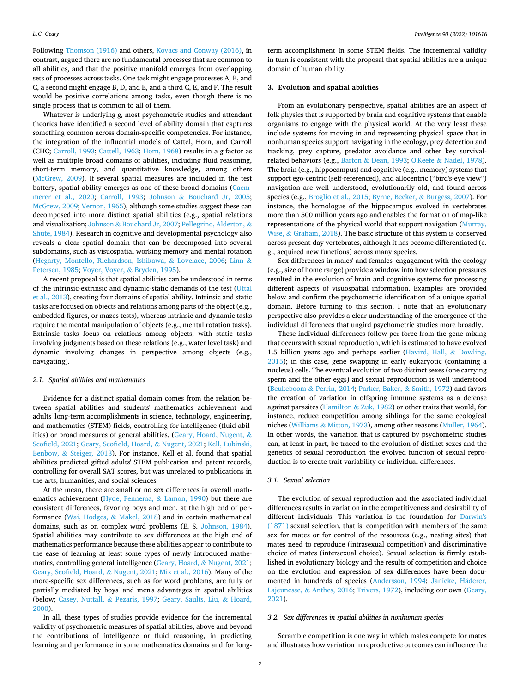Following [Thomson \(1916\)](#page-5-0) and others, [Kovacs and Conway \(2016\),](#page-4-0) in contrast, argued there are no fundamental processes that are common to all abilities, and that the positive manifold emerges from overlapping sets of processes across tasks. One task might engage processes A, B, and C, a second might engage B, D, and E, and a third C, E, and F. The result would be positive correlations among tasks, even though there is no single process that is common to all of them.

Whatever is underlying *g*, most psychometric studies and attendant theories have identified a second level of ability domain that captures something common across domain-specific competencies. For instance, the integration of the influential models of Cattel, Horn, and Carroll (CHC; [Carroll, 1993;](#page-3-0) [Cattell, 1963](#page-4-0); [Horn, 1968\)](#page-4-0) results in a *g* factor as well as multiple broad domains of abilities, including fluid reasoning, short-term memory, and quantitative knowledge, among others ([McGrew, 2009\)](#page-4-0). If several spatial measures are included in the test battery, spatial ability emerges as one of these broad domains [\(Caem](#page-3-0)[merer et al., 2020](#page-3-0); [Carroll, 1993](#page-3-0); Johnson & [Bouchard Jr, 2005](#page-4-0); [McGrew, 2009](#page-4-0); [Vernon, 1965](#page-5-0)), although some studies suggest these can decomposed into more distinct spatial abilities (e.g., spatial relations and visualization; Johnson & [Bouchard Jr, 2007](#page-4-0); [Pellegrino, Alderton,](#page-5-0) & [Shute, 1984\)](#page-5-0). Research in cognitive and developmental psychology also reveals a clear spatial domain that can be decomposed into several subdomains, such as visuospatial working memory and mental rotation ([Hegarty, Montello, Richardson, Ishikawa,](#page-4-0) & Lovelace, 2006; [Linn](#page-4-0) & [Petersen, 1985](#page-4-0); [Voyer, Voyer,](#page-5-0) & Bryden, 1995).

A recent proposal is that spatial abilities can be understood in terms of the intrinsic-extrinsic and dynamic-static demands of the test [\(Uttal](#page-5-0)  [et al., 2013\)](#page-5-0), creating four domains of spatial ability. Intrinsic and static tasks are focused on objects and relations among parts of the object (e.g., embedded figures, or mazes tests), whereas intrinsic and dynamic tasks require the mental manipulation of objects (e.g., mental rotation tasks). Extrinsic tasks focus on relations among objects, with static tasks involving judgments based on these relations (e.g., water level task) and dynamic involving changes in perspective among objects (e.g., navigating).

#### *2.1. Spatial abilities and mathematics*

Evidence for a distinct spatial domain comes from the relation between spatial abilities and students' mathematics achievement and adults' long-term accomplishments in science, technology, engineering, and mathematics (STEM) fields, controlling for intelligence (fluid abilities) or broad measures of general abilities, ([Geary, Hoard, Nugent,](#page-4-0) & [Scofield, 2021](#page-4-0); [Geary, Scofield, Hoard,](#page-4-0) & Nugent, 2021; [Kell, Lubinski,](#page-4-0)  Benbow, & [Steiger, 2013](#page-4-0)). For instance, Kell et al. found that spatial abilities predicted gifted adults' STEM publication and patent records, controlling for overall SAT scores, but was unrelated to publications in the arts, humanities, and social sciences.

At the mean, there are small or no sex differences in overall mathematics achievement [\(Hyde, Fennema,](#page-4-0) & Lamon, 1990) but there are consistent differences, favoring boys and men, at the high end of performance ([Wai, Hodges,](#page-5-0) & Makel, 2018) and in certain mathematical domains, such as on complex word problems (E. S. [Johnson, 1984](#page-4-0)). Spatial abilities may contribute to sex differences at the high end of mathematics performance because these abilities appear to contribute to the ease of learning at least some types of newly introduced mathematics, controlling general intelligence [\(Geary, Hoard,](#page-4-0) & Nugent, 2021; [Geary, Scofield, Hoard,](#page-4-0) & Nugent, 2021; [Mix et al., 2016\)](#page-4-0). Many of the more-specific sex differences, such as for word problems, are fully or partially mediated by boys' and men's advantages in spatial abilities (below; [Casey, Nuttall,](#page-4-0) & Pezaris, 1997; [Geary, Saults, Liu,](#page-4-0) & Hoard, [2000\)](#page-4-0).

In all, these types of studies provide evidence for the incremental validity of psychometric measures of spatial abilities, above and beyond the contributions of intelligence or fluid reasoning, in predicting learning and performance in some mathematics domains and for longterm accomplishment in some STEM fields. The incremental validity in turn is consistent with the proposal that spatial abilities are a unique domain of human ability.

#### **3. Evolution and spatial abilities**

From an evolutionary perspective, spatial abilities are an aspect of folk physics that is supported by brain and cognitive systems that enable organisms to engage with the physical world. At the very least these include systems for moving in and representing physical space that in nonhuman species support navigating in the ecology, prey detection and tracking, prey capture, predator avoidance and other key survivalrelated behaviors (e.g., Barton & [Dean, 1993](#page-3-0); O'Keefe & [Nadel, 1978](#page-5-0)). The brain (e.g., hippocampus) and cognitive (e.g., memory) systems that support ego-centric (self-referenced), and allocentric ("bird's-eye view") navigation are well understood, evolutionarily old, and found across species (e.g., [Broglio et al., 2015](#page-3-0); [Byrne, Becker,](#page-3-0) & Burgess, 2007). For instance, the homologue of the hippocampus evolved in vertebrates more than 500 million years ago and enables the formation of map-like representations of the physical world that support navigation [\(Murray,](#page-4-0)  Wise, & [Graham, 2018](#page-4-0)). The basic structure of this system is conserved across present-day vertebrates, although it has become differentiated (e. g., acquired new functions) across many species.

Sex differences in males' and females' engagement with the ecology (e.g., size of home range) provide a window into how selection pressures resulted in the evolution of brain and cognitive systems for processing different aspects of visuospatial information. Examples are provided below and confirm the psychometric identification of a unique spatial domain. Before turning to this section, I note that an evolutionary perspective also provides a clear understanding of the emergence of the individual differences that ungird psychometric studies more broadly.

These individual differences follow per force from the gene mixing that occurs with sexual reproduction, which is estimated to have evolved 1.5 billion years ago and perhaps earlier ([Havird, Hall,](#page-4-0) & Dowling, [2015\)](#page-4-0); in this case, gene swapping in early eukaryotic (containing a nucleus) cells. The eventual evolution of two distinct sexes (one carrying sperm and the other eggs) and sexual reproduction is well understood (Beukeboom & [Perrin, 2014](#page-3-0); [Parker, Baker,](#page-5-0) & Smith, 1972) and favors the creation of variation in offspring immune systems as a defense against parasites [\(Hamilton](#page-4-0)  $&$  Zuk, 1982) or other traits that would, for instance, reduce competition among siblings for the same ecological niches (Williams & [Mitton, 1973](#page-5-0)), among other reasons ([Muller, 1964](#page-4-0)). In other words, the variation that is captured by psychometric studies can, at least in part, be traced to the evolution of distinct sexes and the genetics of sexual reproduction–the evolved function of sexual reproduction is to create trait variability or individual differences.

#### *3.1. Sexual selection*

The evolution of sexual reproduction and the associated individual differences results in variation in the competitiveness and desirability of different individuals. This variation is the foundation for [Darwin's](#page-4-0)  [\(1871\)](#page-4-0) sexual selection, that is, competition with members of the same sex for mates or for control of the resources (e.g., nesting sites) that mates need to reproduce (intrasexual competition) and discriminative choice of mates (intersexual choice). Sexual selection is firmly established in evolutionary biology and the results of competition and choice on the evolution and expression of sex differences have been docu-mented in hundreds of species [\(Andersson, 1994;](#page-3-0) [Janicke, H](#page-4-0)äderer, Lajeunesse, & [Anthes, 2016](#page-4-0); [Trivers, 1972](#page-5-0)), including our own ([Geary,](#page-4-0)  [2021\)](#page-4-0).

#### *3.2. Sex differences in spatial abilities in nonhuman species*

Scramble competition is one way in which males compete for mates and illustrates how variation in reproductive outcomes can influence the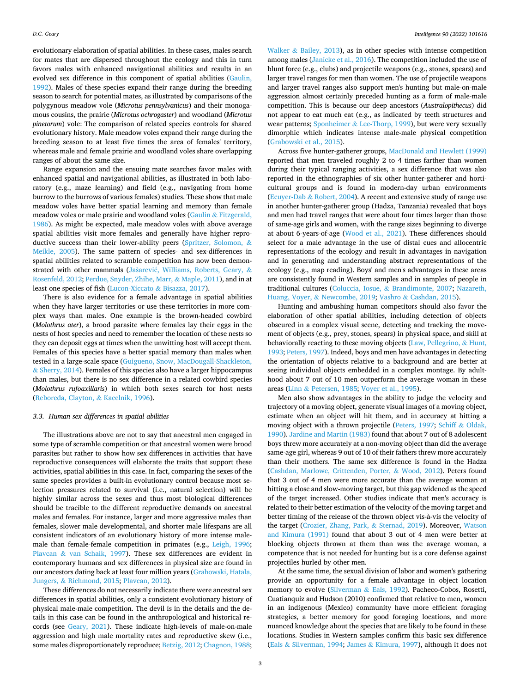evolutionary elaboration of spatial abilities. In these cases, males search for mates that are dispersed throughout the ecology and this in turn favors males with enhanced navigational abilities and results in an evolved sex difference in this component of spatial abilities ([Gaulin,](#page-4-0)  [1992\)](#page-4-0). Males of these species expand their range during the breeding season to search for potential mates, as illustrated by comparisons of the polygynous meadow vole (*Microtus pennsylvanicus*) and their monogamous cousins, the prairie (*Microtus ochrogaster*) and woodland (*Microtus pinetorum*) vole: The comparison of related species controls for shared evolutionary history. Male meadow voles expand their range during the breeding season to at least five times the area of females' territory, whereas male and female prairie and woodland voles share overlapping ranges of about the same size.

Range expansion and the ensuing mate searches favor males with enhanced spatial and navigational abilities, as illustrated in both laboratory (e.g., maze learning) and field (e.g., navigating from home burrow to the burrows of various females) studies. These show that male meadow voles have better spatial learning and memory than female meadow voles or male prairie and woodland voles (Gaulin & [Fitzgerald,](#page-4-0)  [1986\)](#page-4-0). As might be expected, male meadow voles with above average spatial abilities visit more females and generally have higher reproductive success than their lower-ability peers ([Spritzer, Solomon,](#page-5-0) & [Meikle, 2005\)](#page-5-0). The same pattern of species- and sex-differences in spatial abilities related to scramble competition has now been demonstrated with other mammals (Jašarević, Williams, Roberts, Geary, & [Rosenfeld, 2012;](#page-4-0) [Perdue, Snyder, Zhihe, Marr,](#page-5-0) & Maple, 2011), and in at least one species of fish ([Lucon-Xiccato](#page-4-0) & Bisazza, 2017).

There is also evidence for a female advantage in spatial abilities when they have larger territories or use these territories in more complex ways than males. One example is the brown-headed cowbird (*Molothrus ater*), a brood parasite where females lay their eggs in the nests of host species and need to remember the location of these nests so they can deposit eggs at times when the unwitting host will accept them. Females of this species have a better spatial memory than males when tested in a large-scale space ([Guigueno, Snow, MacDougall-Shackleton,](#page-4-0)  & [Sherry, 2014\)](#page-4-0). Females of this species also have a larger hippocampus than males, but there is no sex difference in a related cowbird species (*Molothrus rufoaxillaris*) in which both sexes search for host nests ([Reboreda, Clayton,](#page-5-0) & Kacelnik, 1996).

#### *3.3. Human sex differences in spatial abilities*

The illustrations above are not to say that ancestral men engaged in some type of scramble competition or that ancestral women were brood parasites but rather to show how sex differences in activities that have reproductive consequences will elaborate the traits that support these activities, spatial abilities in this case. In fact, comparing the sexes of the same species provides a built-in evolutionary control because most selection pressures related to survival (i.e., natural selection) will be highly similar across the sexes and thus most biological differences should be tracible to the different reproductive demands on ancestral males and females. For instance, larger and more aggressive males than females, slower male developmental, and shorter male lifespans are all consistent indicators of an evolutionary history of more intense malemale than female-female competition in primates (e.g., [Leigh, 1996](#page-4-0); Plavcan & [van Schaik, 1997](#page-5-0)). These sex differences are evident in contemporary humans and sex differences in physical size are found in our ancestors dating back at least four million years ([Grabowski, Hatala,](#page-4-0)  Jungers, & [Richmond, 2015;](#page-4-0) [Plavcan, 2012](#page-5-0)).

These differences do not necessarily indicate there were ancestral sex differences in spatial abilities, only a consistent evolutionary history of physical male-male competition. The devil is in the details and the details in this case can be found in the anthropological and historical records (see [Geary, 2021\)](#page-4-0). These indicate high-levels of male-on-male aggression and high male mortality rates and reproductive skew (i.e., some males disproportionately reproduce; [Betzig, 2012](#page-3-0); [Chagnon, 1988](#page-4-0);

Walker & [Bailey, 2013](#page-5-0)), as in other species with intense competition among males ([Janicke et al., 2016](#page-4-0)). The competition included the use of blunt force (e.g., clubs) and projectile weapons (e.g., stones, spears) and larger travel ranges for men than women. The use of projectile weapons and larger travel ranges also support men's hunting but male-on-male aggression almost certainly preceded hunting as a form of male-male competition. This is because our deep ancestors (*Australopithecus*) did not appear to eat much eat (e.g., as indicated by teeth structures and wear patterns; Sponheimer & [Lee-Thorp, 1999](#page-5-0)), but were very sexually dimorphic which indicates intense male-male physical competition ([Grabowski et al., 2015\)](#page-4-0).

Across five hunter-gatherer groups, [MacDonald and Hewlett \(1999\)](#page-4-0)  reported that men traveled roughly 2 to 4 times farther than women during their typical ranging activities, a sex difference that was also reported in the ethnographies of six other hunter-gatherer and horticultural groups and is found in modern-day urban environments (Ecuyer-Dab & [Robert, 2004](#page-4-0)). A recent and extensive study of range use in another hunter-gatherer group (Hadza, Tanzania) revealed that boys and men had travel ranges that were about four times larger than those of same-age girls and women, with the range sizes beginning to diverge at about 6-years-of-age [\(Wood et al., 2021\)](#page-5-0). These differences should select for a male advantage in the use of distal cues and allocentric representations of the ecology and result in advantages in navigation and in generating and understanding abstract representations of the ecology (e.g., map reading). Boys' and men's advantages in these areas are consistently found in Western samples and in samples of people in traditional cultures (Coluccia, Iosue, & [Brandimonte, 2007](#page-4-0); [Nazareth,](#page-5-0)  Huang, Voyer, & [Newcombe, 2019](#page-5-0); Vashro & [Cashdan, 2015\)](#page-5-0).

Hunting and ambushing human competitors should also favor the elaboration of other spatial abilities, including detection of objects obscured in a complex visual scene, detecting and tracking the movement of objects (e.g., prey, stones, spears) in physical space, and skill at behaviorally reacting to these moving objects ([Law, Pellegrino,](#page-4-0) & Hunt, [1993;](#page-4-0) [Peters, 1997\)](#page-5-0). Indeed, boys and men have advantages in detecting the orientation of objects relative to a background and are better at seeing individual objects embedded in a complex montage. By adulthood about 7 out of 10 men outperform the average woman in these areas (Linn & [Petersen, 1985](#page-4-0); [Voyer et al., 1995\)](#page-5-0).

Men also show advantages in the ability to judge the velocity and trajectory of a moving object, generate visual images of a moving object, estimate when an object will hit them, and in accuracy at hitting a moving object with a thrown projectile [\(Peters, 1997](#page-5-0); Schiff & [Oldak,](#page-5-0)  [1990\)](#page-5-0). [Jardine and Martin \(1983\)](#page-4-0) found that about 7 out of 8 adolescent boys threw more accurately at a non-moving object than did the average same-age girl, whereas 9 out of 10 of their fathers threw more accurately than their mothers. The same sex difference is found in the Hadza ([Cashdan, Marlowe, Crittenden, Porter,](#page-4-0) & Wood, 2012). Peters found that 3 out of 4 men were more accurate than the average woman at hitting a close and slow-moving target, but this gap widened as the speed of the target increased. Other studies indicate that men's accuracy is related to their better estimation of the velocity of the moving target and better timing of the release of the thrown object vis-à-vis the velocity of the target [\(Crozier, Zhang, Park,](#page-4-0) & Sternad, 2019). Moreover, [Watson](#page-5-0)  [and Kimura \(1991\)](#page-5-0) found that about 3 out of 4 men were better at blocking objects thrown at them than was the average woman, a competence that is not needed for hunting but is a core defense against projectiles hurled by other men.

At the same time, the sexual division of labor and women's gathering provide an opportunity for a female advantage in object location memory to evolve [\(Silverman](#page-5-0) & Eals, 1992). Pacheco-Cobos, Rosetti, Cuatianquiz and Hudson (2010) confirmed that relative to men, women in an indigenous (Mexico) community have more efficient foraging strategies, a better memory for good foraging locations, and more nuanced knowledge about the species that are likely to be found in these locations. Studies in Western samples confirm this basic sex difference (Eals & [Silverman, 1994;](#page-4-0) James & [Kimura, 1997\)](#page-4-0), although it does not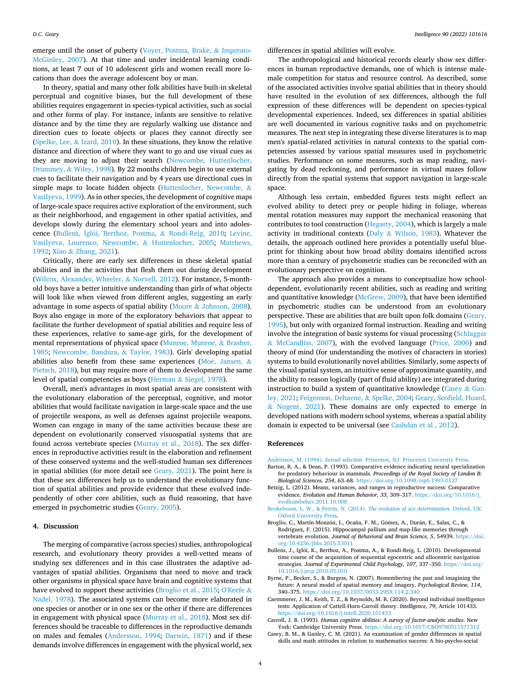*Intelligence 90 (2022) 101616*

<span id="page-3-0"></span>emerge until the onset of puberty ([Voyer, Postma, Brake,](#page-5-0) & Imperato-[McGinley, 2007](#page-5-0)). At that time and under incidental learning conditions, at least 7 out of 10 adolescent girls and women recall more locations than does the average adolescent boy or man.

In theory, spatial and many other folk abilities have built-in skeletal perceptual and cognitive biases, but the full development of these abilities requires engagement in species-typical activities, such as social and other forms of play. For instance, infants are sensitive to relative distance and by the time they are regularly walking use distance and direction cues to locate objects or places they cannot directly see ([Spelke, Lee,](#page-5-0) & Izard, 2010). In these situations, they know the relative distance and direction of where they want to go and use visual cues as they are moving to adjust their search [\(Newcombe, Huttenlocher,](#page-5-0)  Drummey, & [Wiley, 1998](#page-5-0)). By 22 months children begin to use external cues to facilitate their navigation and by 4 years use directional cues in simple maps to locate hidden objects [\(Huttenlocher, Newcombe,](#page-4-0) & [Vasilyeva, 1999](#page-4-0)). As in other species, the development of cognitive maps of large-scale space requires active exploration of the environment, such as their neighborhood, and engagement in other spatial activities, and develops slowly during the elementary school years and into adolescence (Bullens, Iglói, Berthoz, Postma, & Rondi-Reig, 2010; Levine, [Vasilyeva, Lourenco, Newcombe,](#page-4-0) & Huttenlocher, 2005; [Matthews,](#page-4-0)  [1992;](#page-4-0) Xiao & [Zhang, 2021\)](#page-5-0).

Critically, there are early sex differences in these skeletal spatial abilities and in the activities that flesh them out during development ([Wilcox, Alexander, Wheeler,](#page-5-0) & Norvell, 2012). For instance, 5-monthold boys have a better intuitive understanding than girls of what objects will look like when viewed from different angles, suggesting an early advantage in some aspects of spatial ability (Moore & [Johnson, 2008](#page-4-0)). Boys also engage in more of the exploratory behaviors that appear to facilitate the further development of spatial abilities and require less of these experiences, relative to same-age girls, for the development of mental representations of physical space ([Munroe, Munroe,](#page-4-0) & Brasher, [1985;](#page-4-0) [Newcombe, Bandura,](#page-5-0) & Taylor, 1983). Girls' developing spatial abilities also benefit from these same experiences (Moè, Jansen,  $\&$ [Pietsch, 2018](#page-4-0)), but may require more of them to development the same level of spatial competencies as boys (Herman & [Siegel, 1978\)](#page-4-0).

Overall, men's advantages in most spatial areas are consistent with the evolutionary elaboration of the perceptual, cognitive, and motor abilities that would facilitate navigation in large-scale space and the use of projectile weapons, as well as defenses against projectile weapons. Women can engage in many of the same activities because these are dependent on evolutionarily conserved visuospatial systems that are found across vertebrate species [\(Murray et al., 2018\)](#page-4-0). The sex differences in reproductive activities result in the elaboration and refinement of these conserved systems and the well-studied human sex differences in spatial abilities (for more detail see [Geary, 2021](#page-4-0)). The point here is that these sex differences help us to understand the evolutionary function of spatial abilities and provide evidence that these evolved independently of other core abilities, such as fluid reasoning, that have emerged in psychometric studies ([Geary, 2005](#page-4-0)).

#### **4. Discussion**

The merging of comparative (across species) studies, anthropological research, and evolutionary theory provides a well-vetted means of studying sex differences and in this case illustrates the adaptive advantages of spatial abilities. Organisms that need to move and track other organisms in physical space have brain and cognitive systems that have evolved to support these activities (Broglio et al., 2015; [O'Keefe](#page-5-0) & [Nadel, 1978](#page-5-0)). The associated systems can become more elaborated in one species or another or in one sex or the other if there are differences in engagement with physical space ([Murray et al., 2018\)](#page-4-0). Most sex differences should be traceable to differences in the reproductive demands on males and females (Andersson, 1994; [Darwin, 1871\)](#page-4-0) and if these demands involve differences in engagement with the physical world, sex

differences in spatial abilities will evolve.

The anthropological and historical records clearly show sex differences in human reproductive demands, one of which is intense malemale competition for status and resource control. As described, some of the associated activities involve spatial abilities that in theory should have resulted in the evolution of sex differences, although the full expression of these differences will be dependent on species-typical developmental experiences. Indeed, sex differences in spatial abilities are well documented in various cognitive tasks and on psychometric measures. The next step in integrating these diverse literatures is to map men's spatial-related activities in natural contexts to the spatial competencies assessed by various spatial measures used in psychometric studies. Performance on some measures, such as map reading, navigating by dead reckoning, and performance in virtual mazes follow directly from the spatial systems that support navigation in large-scale space.

Although less certain, embedded figures tests might reflect an evolved ability to detect prey or people hiding in foliage, whereas mental rotation measures may support the mechanical reasoning that contributes to tool construction ([Hegarty, 2004\)](#page-4-0), which is largely a male activity in traditional contexts (Daly  $\&$  [Wilson, 1983](#page-4-0)). Whatever the details, the approach outlined here provides a potentially useful blueprint for thinking about how broad ability domains identified across more than a century of psychometric studies can be reconciled with an evolutionary perspective on cognition.

The approach also provides a means to conceptualize how schooldependent, evolutionarily recent abilities, such as reading and writing and quantitative knowledge [\(McGrew, 2009](#page-4-0)), that have been identified in psychometric studies can be understood from an evolutionary perspective. These are abilities that are built upon folk domains ([Geary,](#page-4-0)  [1995\)](#page-4-0), but only with organized formal instruction. Reading and writing involve the integration of basic systems for visual processing [\(Schlaggar](#page-5-0)  & [McCandliss, 2007\)](#page-5-0), with the evolved language ([Price, 2000\)](#page-5-0) and theory of mind (for understanding the motives of characters in stories) systems to build evolutionarily novel abilities. Similarly, some aspects of the visual spatial system, an intuitive sense of approximate quantity, and the ability to reason logically (part of fluid ability) are integrated during instruction to build a system of quantitative knowledge (Casey & Ganley, 2021; [Feigenson, Dehaene,](#page-4-0) & Spelke, 2004; [Geary, Scofield, Hoard,](#page-4-0)   $&$  [Nugent, 2021\)](#page-4-0). These domains are only expected to emerge in developed nations with modern school systems, whereas a spatial ability domain is expected to be universal (see [Cashdan et al., 2012\)](#page-4-0).

#### **References**

- Andersson, M. (1994). *Sexual selection*[. Princeton, NJ: Princeton University Press](http://refhub.elsevier.com/S0160-2896(21)00100-8/rf0005).
- Barton, R. A., & Dean, P. (1993). Comparative evidence indicating neural specialization for predatory behaviour in mammals. *Proceedings of the Royal Society of London B: Biological Sciences, 254*, 63–68.<https://doi.org/10.1098/rspb.1993.0127>
- Betzig, L. (2012). Means, variances, and ranges in reproductive success: Comparative evidence. *Evolution and Human Behavior, 33*, 309–317. [https://doi.org/10.1016/j.](https://doi.org/10.1016/j.evolhumbehav.2011.10.008)  [evolhumbehav.2011.10.008](https://doi.org/10.1016/j.evolhumbehav.2011.10.008)
- [Beukeboom, L. W., & Perrin, N. \(2014\).](http://refhub.elsevier.com/S0160-2896(21)00100-8/rf0020) *The evolution of sex determination*. Oxford, UK: [Oxford University Press.](http://refhub.elsevier.com/S0160-2896(21)00100-8/rf0020)
- Broglio, C., Martín-Monzón, I., Ocaña, F. M., Gómez, A., Durán, E., Salas, C., & Rodríguez, F. (2015). Hippocampal pallium and map-like memories through vertebrate evolution. *Journal of Behavioral and Brain Science, 5*, 54939. [https://doi.](https://doi.org/10.4236/jbbs.2015.53011) [org/10.4236/jbbs.2015.53011](https://doi.org/10.4236/jbbs.2015.53011)
- Bullens, J., Iglói, K., Berthoz, A., Postma, A., & Rondi-Reig, L. (2010). Developmental time course of the acquisition of sequential egocentric and allocentric navigation strategies. *Journal of Experimental Child Psychology, 107*, 337–350. [https://doi.org/](https://doi.org/10.1016/j.jecp.2010.05.010) [10.1016/j.jecp.2010.05.010](https://doi.org/10.1016/j.jecp.2010.05.010)
- Byrne, P., Becker, S., & Burgess, N. (2007). Remembering the past and imagining the future: A neural model of spatial memory and imagery. *Psychological Review, 114*, 340–375. <https://doi.org/10.1037/0033-295X.114.2.340>
- Caemmerer, J. M., Keith, T. Z., & Reynolds, M. R. (2020). Beyond individual intelligence tests: Application of Cattell-Horn-Carroll theory. *Intelligence, 79*, Article 101433. <https://doi.org/10.1016/j.intell.2020.101433>
- Carroll, J. B. (1993). *Human cognitive abilities: A survey of factor-analytic studies*. New York: Cambridge University Press. <https://doi.org/10.1017/CBO9780511571312>
- Casey, B. M., & Ganley, C. M. (2021). An examination of gender differences in spatial skills and math attitudes in relation to mathematics success: A bio-psycho-social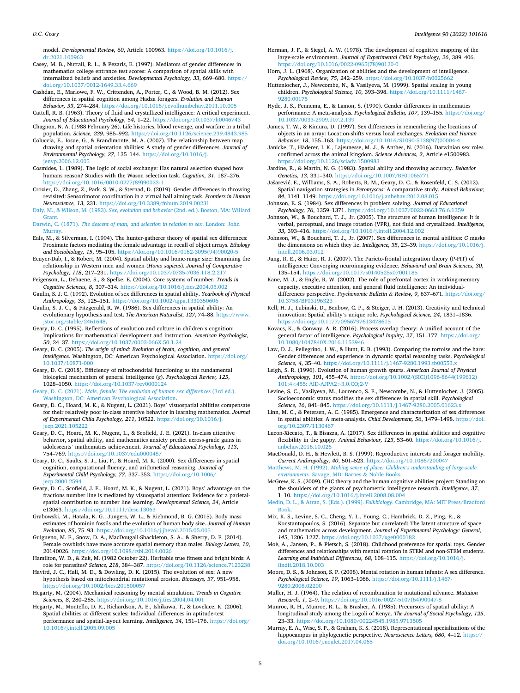<span id="page-4-0"></span>*D.C. Geary* 

model. *Developmental Review, 60*, Article 100963. [https://doi.org/10.1016/j.](https://doi.org/10.1016/j.dr.2021.100963) dr.2021.1009

- Casey, M. B., Nuttall, R. L., & Pezaris, E. (1997). Mediators of gender differences in mathematics college entrance test scores: A comparison of spatial skills with internalized beliefs and anxieties. *Developmental Psychology, 33*, 669–680. [https://](https://doi.org/10.1037/0012-1649.33.4.669) [doi.org/10.1037/0012-1649.33.4.669](https://doi.org/10.1037/0012-1649.33.4.669)
- Cashdan, E., Marlowe, F. W., Crittenden, A., Porter, C., & Wood, B. M. (2012). Sex differences in spatial cognition among Hadza foragers. *Evolution and Human Behavior, 33*, 274–284. <https://doi.org/10.1016/j.evolhumbehav.2011.10.005>
- Cattell, R. B. (1963). Theory of fluid and crystallized intelligence: A critical experiment. *Journal of Educational Psychology, 54*, 1–22.<https://doi.org/10.1037/h0046743> Chagnon, N. A. (1988 February 26). Life histories, blood revenge, and warfare in a tribal
- population. *Science, 239*, 985–992. <https://doi.org/10.1126/science.239.4843.985> Coluccia, E., Iosue, G., & Brandimonte, M. A. (2007). The relationship between map
- drawing and spatial orientation abilities: A study of gender differences. *Journal of Environmental Psychology, 27*, 135–144. [https://doi.org/10.1016/j.](https://doi.org/10.1016/j.jenvp.2006.12.005)  [jenvp.2006.12.005](https://doi.org/10.1016/j.jenvp.2006.12.005)
- Cosmides, L. (1989). The logic of social exchange: Has natural selection shaped how humans reason? Studies with the Wason selection task. *Cognition, 31*, 187–276. [https://doi.org/10.1016/0010-0277\(89\)90023-1](https://doi.org/10.1016/0010-0277(89)90023-1)
- Crozier, D., Zhang, Z., Park, S. W., & Sternad, D. (2019). Gender differences in throwing revisited: Sensorimotor coordination in a virtual ball aiming task. *Frontiers in Human Neuroscience, 13*, 231. <https://doi.org/10.3389/fnhum.2019.00231>
- Daly, M., & Wilson, M. (1983). *Sex, evolution and behavior* [\(2nd. ed.\). Boston, MA: Willard](http://refhub.elsevier.com/S0160-2896(21)00100-8/rf0090)  [Grant.](http://refhub.elsevier.com/S0160-2896(21)00100-8/rf0090)
- Darwin, C. (1871). *[The descent of man, and selection in relation to sex](http://refhub.elsevier.com/S0160-2896(21)00100-8/rf0095)*. London: John [Murray](http://refhub.elsevier.com/S0160-2896(21)00100-8/rf0095).
- Eals, M., & Silverman, I. (1994). The hunter-gatherer theory of spatial sex differences: Proximate factors mediating the female advantage in recall of object arrays. *Ethology and Sociobiology, 15*, 95–105. [https://doi.org/10.1016/0162-3095\(94\)90020-5](https://doi.org/10.1016/0162-3095(94)90020-5)
- Ecuyer-Dab, I., & Robert, M. (2004). Spatial ability and home-range size: Examining the relationship in Western men and women (*Homo sapiens*). *Journal of Comparative Psychology, 118*, 217–231. <https://doi.org/10.1037/0735-7036.118.2.217>
- Feigenson, L., Dehaene, S., & Spelke, E. (2004). Core systems of number. *Trends in Cognitive Sciences, 8*, 307–314. <https://doi.org/10.1016/j.tics.2004.05.002>
- Gaulin, S. J. C. (1992). Evolution of sex differences in spatial ability. *Yearbook of Physical Anthropology, 35*, 125–151. <https://doi.org/10.1002/ajpa.1330350606>
- Gaulin, S. J. C., & Fitzgerald, R. W. (1986). Sex differences in spatial ability: An evolutionary hypothesis and test. *The American Naturalist, 127*, 74–88. [https://www.](https://www.jstor.org/stable/2461648)  [jstor.org/stable/2461648](https://www.jstor.org/stable/2461648).
- Geary, D. C. (1995). Reflections of evolution and culture in children's cognition: Implications for mathematical development and instruction. *American Psychologist, 50*, 24–37. <https://doi.org/10.1037/0003-066X.50.1.24>
- Geary, D. C. (2005). *The origin of mind: Evolution of brain, cognition, and general intelligence*. Washington, DC: American Psychological Association. [https://doi.org/](https://doi.org/10.1037/10871-000)  [10.1037/10871-000](https://doi.org/10.1037/10871-000)
- Geary, D. C. (2018). Efficiency of mitochondrial functioning as the fundamental biological mechanism of general intelligence (*g*). *Psychological Review, 125*, 1028–1050.<https://doi.org/10.1037/rev0000124>
- Geary, D. C. (2021). *[Male, female: The evolution of human sex differences](http://refhub.elsevier.com/S0160-2896(21)00100-8/rf0140)* (3rd ed.). [Washington, DC: American Psychological Association](http://refhub.elsevier.com/S0160-2896(21)00100-8/rf0140).
- Geary, D. C., Hoard, M. K., & Nugent, L. (2021). Boys' visuospatial abilities compensate for their relatively poor in-class attentive behavior in learning mathematics. *Journal of Experimental Child Psychology, 211*, 10522. [https://doi.org/10.1016/j.](https://doi.org/10.1016/j.jecp.2021.105222) [jecp.2021.105222](https://doi.org/10.1016/j.jecp.2021.105222)
- Geary, D. C., Hoard, M. K., Nugent, L., & Scofield, J. E. (2021). In-class attentive behavior, spatial ability, and mathematics anxiety predict across-grade gains in adolescents' mathematics achievement. *Journal of Educational Psychology, 113*, 754–769. <https://doi.org/10.1037/edu0000487>
- Geary, D. C., Saults, S. J., Liu, F., & Hoard, M. K. (2000). Sex differences in spatial cognition, computational fluency, and arithmetical reasoning. *Journal of Experimental Child Psychology, 77*, 337–353. [https://doi.org/10.1006/](https://doi.org/10.1006/jecp.2000.2594)  [jecp.2000.2594](https://doi.org/10.1006/jecp.2000.2594)
- Geary, D. C., Scofield, J. E., Hoard, M. K., & Nugent, L. (2021). Boys' advantage on the fractions number line is mediated by visuospatial attention: Evidence for a parietalspatial contribution to number line learning. *Developmental Science, 24*, Article e13063. <https://doi.org/10.1111/desc.13063>
- Grabowski, M., Hatala, K. G., Jungers, W. L., & Richmond, B. G. (2015). Body mass estimates of hominin fossils and the evolution of human body size. *Journal of Human Evolution, 85*, 75–93. <https://doi.org/10.1016/j.jhevol.2015.05.005>
- Guigueno, M. F., Snow, D. A., MacDougall-Shackleton, S. A., & Sherry, D. F. (2014). Female cowbirds have more accurate spatial memory than males. *Biology Letters, 10*, 20140026. <https://doi.org/10.1098/rsbl.2014.0026>
- Hamilton, W. D., & Zuk, M. (1982 October 22). Heritable true fitness and bright birds: A role for parasites? *Science, 218*, 384–387. <https://doi.org/10.1126/science.7123238>
- Havird, J. C., Hall, M. D., & Dowling, D. K. (2015). The evolution of sex: A new hypothesis based on mitochondrial mutational erosion. *Bioessays, 37*, 951–958. <https://doi.org/10.1002/bies.201500057>
- Hegarty, M. (2004). Mechanical reasoning by mental simulation. *Trends in Cognitive Sciences, 8*, 280–285.<https://doi.org/10.1016/j.tics.2004.04.001>
- Hegarty, M., Montello, D. R., Richardson, A. E., Ishikawa, T., & Lovelace, K. (2006). Spatial abilities at different scales: Individual differences in aptitude-test performance and spatial-layout learning. *Intelligence, 34*, 151–176. [https://doi.org/](https://doi.org/10.1016/j.intell.2005.09.005) [10.1016/j.intell.2005.09.005](https://doi.org/10.1016/j.intell.2005.09.005)
- Herman, J. F., & Siegel, A. W. (1978). The development of cognitive mapping of the large-scale environment. *Journal of Experimental Child Psychology, 26*, 389–406. [https://doi.org/10.1016/0022-0965\(78\)90120-0](https://doi.org/10.1016/0022-0965(78)90120-0)
- Horn, J. L. (1968). Organization of abilities and the development of intelligence. *Psychological Review, 75*, 242–259. <https://doi.org/10.1037/h0025662>
- Huttenlocher, J., Newcombe, N., & Vasilyeva, M. (1999). Spatial scaling in young children. *Psychological Science, 10*, 393–398. [https://doi.org/10.1111/1467-](https://doi.org/10.1111/1467-9280.00175)  9280.0017
- Hyde, J. S., Fennema, E., & Lamon, S. (1990). Gender differences in mathematics performance: A meta-analysis. *Psychological Bulletin, 107*, 139–155. [https://doi.org/](https://doi.org/10.1037/0033-2909.107.2.139)  [10.1037/0033-2909.107.2.139](https://doi.org/10.1037/0033-2909.107.2.139)
- James, T. W., & Kimura, D. (1997). Sex differences in remembering the locations of objects in an array: Location-shifts versus local exchanges. *Evolution and Human Behavior, 18*, 155–163. [https://doi.org/10.1016/S1090-5138\(97\)00004-4](https://doi.org/10.1016/S1090-5138(97)00004-4)
- Janicke, T., Häderer, I. K., Lajeunesse, M. J., & Anthes, N. (2016). Darwinian sex roles confirmed across the animal kingdom. *Science Advances, 2*, Article e1500983. <https://doi.org/10.1126/sciadv.1500983>
- Jardine, R., & Martin, N. G. (1983). Spatial ability and throwing accuracy. *Behavior Genetics, 13, 331-340. https://doi.org/10.1007/BF01065*
- Jašarević, E., Williams, S. A., Roberts, R. M., Geary, D. C., & Rosenfeld, C. S. (2012). Spatial navigation strategies in *Peromyscus*: A comparative study. *Animal Behaviour, 84*, 1141–1149.<https://doi.org/10.1016/j.anbehav.2012.08.015>
- Johnson, E. S. (1984). Sex differences in problem solving. *Journal of Educational Psychology, 76*, 1359–1371. <https://doi.org/10.1037/0022-0663.76.6.1359>
- Johnson, W., & Bouchard, T. J., Jr. (2005). The structure of human intelligence: It is verbal, perceptual, and image rotation (VPR), not fluid and crystallized. *Intelligence, 33*, 393–416. <https://doi.org/10.1016/j.intell.2004.12.002>
- Johnson, W., & Bouchard, T. J., Jr. (2007). Sex differences in mental abilities: *G* masks the dimensions on which they lie. *Intelligence, 35*, 23–39. [https://doi.org/10.1016/j.](https://doi.org/10.1016/j.intell.2006.03.012)  [intell.2006.03.012](https://doi.org/10.1016/j.intell.2006.03.012)
- Jung, R. E., & Haier, R. J. (2007). The Parieto-frontal integration theory (P-FIT) of intelligence: Converging neuroimaging evidence. *Behavioral and Brain Sciences, 30*, 135–154. <https://doi.org/10.1017/s0140525x07001185>
- Kane, M. J., & Engle, R. W. (2002). The role of prefrontal cortex in working-memory capacity, executive attention, and general fluid intelligence: An individualdifferences perspective. *Psychonomic Bulletin & Review, 9*, 637–671. [https://doi.org/](https://doi.org/10.3758/BF03196323)  [10.3758/BF03196323](https://doi.org/10.3758/BF03196323)
- Kell, H. J., Lubinski, D., Benbow, C. P., & Steiger, J. H. (2013). Creativity and technical innovation: Spatial ability's unique role. *Psychological Science, 24*, 1831–1836. <https://doi.org/10.1177/0956797613478615>
- Kovacs, K., & Conway, A. R. (2016). Process overlap theory: A unified account of the general factor of intelligence. *Psychological Inquiry, 27*, 151–177. [https://doi.org/](https://doi.org/10.1080/1047840X.2016.1153946) [10.1080/1047840X.2016.1153946](https://doi.org/10.1080/1047840X.2016.1153946)
- Law, D. J., Pellegrino, J. W., & Hunt, E. B. (1993). Comparing the tortoise and the hare: Gender differences and experience in dynamic spatial reasoning tasks. *Psychological*  **Science, 4, 35–40.** https://doi.org/10.1111/j.1467-9280.1993.tb00553.
- Leigh, S. R. (1996). Evolution of human growth spurts. *American Journal of Physical Anthropology, 101*, 455–474. [https://doi.org/10.1002/\(SICI\)1096-8644\(199612\)](https://doi.org/10.1002/(SICI)1096-8644(199612)101:4<455: AID-AJPA2>3.0.CO;2-V)  101:4*<*[455: AID-AJPA2](https://doi.org/10.1002/(SICI)1096-8644(199612)101:4<455: AID-AJPA2>3.0.CO;2-V)*>*3.0.CO;2-V
- Levine, S. C., Vasilyeva, M., Lourenco, S. F., Newcombe, N., & Huttenlocher, J. (2005). Socioeconomic status modifies the sex differences in spatial skill. *Psychological Science, 16*, 841–845. <https://doi.org/10.1111/j.1467-9280.2005.01623.x>
- Linn, M. C., & Petersen, A. C. (1985). Emergence and characterization of sex differences in spatial abilities: A meta-analysis. *Child Development, 56*, 1479–1498. [https://doi.](https://doi.org/10.2307/1130467)  [org/10.2307/1130467](https://doi.org/10.2307/1130467)
- Lucon-Xiccato, T., & Bisazza, A. (2017). Sex differences in spatial abilities and cognitive flexibility in the guppy. *Animal Behaviour, 123*, 53–60. [https://doi.org/10.1016/j.](https://doi.org/10.1016/j.anbehav.2016.10.026)  [anbehav.2016.10.026](https://doi.org/10.1016/j.anbehav.2016.10.026)
- MacDonald, D. H., & Hewlett, B. S. (1999). Reproductive interests and forager mobility. *Current Anthropology, 40*, 501–523. <https://doi.org/10.1086/200047>
- Matthews, M. H. (1992). *[Making sense of place: Children](http://refhub.elsevier.com/S0160-2896(21)00100-8/rf0300)'s understanding of large-scale environments*[. Savage, MD: Barnes](http://refhub.elsevier.com/S0160-2896(21)00100-8/rf0300) & Noble Books.
- McGrew, K. S. (2009). CHC theory and the human cognitive abilities project: Standing on the shoulders of the giants of psychometric intelligence research. *Intelligence, 37*, 1–10.<https://doi.org/10.1016/j.intell.2008.08.004>
- [Medin, D. L., & Atran, S. \(Eds.\). \(1999\).](http://refhub.elsevier.com/S0160-2896(21)00100-8/rf0310) *Folkbiology*. Cambridge, MA: MIT Press/Bradford [Book.](http://refhub.elsevier.com/S0160-2896(21)00100-8/rf0310)
- Mix, K. S., Levine, S. C., Cheng, Y. L., Young, C., Hambrick, D. Z., Ping, R., & Konstantopoulos, S. (2016). Separate but correlated: The latent structure of space and mathematics across development. *Journal of Experimental Psychology: General, 145*, 1206–1227. <https://doi.org/10.1037/xge0000182>
- Moè, A., Jansen, P., & Pietsch, S. (2018). Childhood preference for spatial toys. Gender differences and relationships with mental rotation in STEM and non-STEM students. *Learning and Individual Differences, 68*, 108–115. [https://doi.org/10.1016/j.](https://doi.org/10.1016/j.lindif.2018.10.003) [lindif.2018.10.003](https://doi.org/10.1016/j.lindif.2018.10.003)
- Moore, D. S., & Johnson, S. P. (2008). Mental rotation in human infants: A sex difference. *Psychological Science, 19*, 1063–1066. [https://doi.org/10.1111/j.1467-](https://doi.org/10.1111/j.1467-9280.2008.02200) [9280.2008.02200](https://doi.org/10.1111/j.1467-9280.2008.02200)
- Muller, H. J. (1964). The relation of recombination to mutational advance. *Mutation Research, 1*, 2–9. [https://doi.org/10.1016/0027-5107\(64\)90047-8](https://doi.org/10.1016/0027-5107(64)90047-8)
- Munroe, R. H., Munroe, R. L., & Brasher, A. (1985). Precursors of spatial ability: A longitudinal study among the Logoli of Kenya. *The Journal of Social Psychology, 125*, 23–33. <https://doi.org/10.1080/00224545.1985.9713505>
- Murray, E. A., Wise, S. P., & Graham, K. S. (2018). Representational specializations of the hippocampus in phylogenetic perspective. *Neuroscience Letters, 680*, 4–12. [https://](https://doi.org/10.1016/j.neulet.2017.04.065)  [doi.org/10.1016/j.neulet.2017.04.065](https://doi.org/10.1016/j.neulet.2017.04.065)